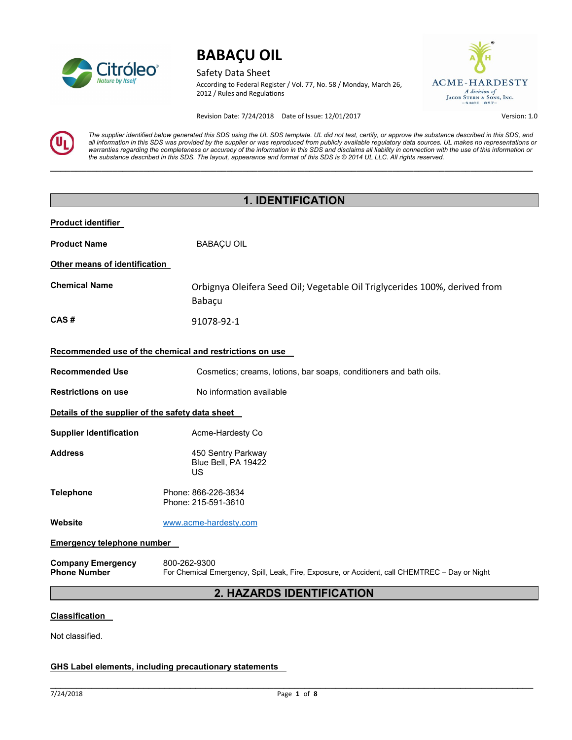

Safety Data Sheet According to Federal Register / Vol. 77, No. 58 / Monday, March 26, 2012 / Rules and Regulations



Revision Date: 7/24/2018 Date of Issue: 12/01/2017 Version: 1.0

The supplier identified below generated this SDS using the UL SDS template. UL did not test, certify, or approve the substance described in this SDS, and all information in this SDS was provided by the supplier or was reproduced from publicly available regulatory data sources. UL makes no representations or warranties regarding the completeness or accuracy of the information in this SDS and disclaims all liability in connection with the use of this information or the substance described in this SDS. The layout, appearance and format of this SDS is © 2014 UL LLC. All rights reserved.

 $\_$  , and the set of the set of the set of the set of the set of the set of the set of the set of the set of the set of the set of the set of the set of the set of the set of the set of the set of the set of the set of th

| <b>1. IDENTIFICATION</b>                         |                                                                                                                |  |
|--------------------------------------------------|----------------------------------------------------------------------------------------------------------------|--|
| <b>Product identifier</b>                        |                                                                                                                |  |
| <b>Product Name</b>                              | <b>BABAÇU OIL</b>                                                                                              |  |
| Other means of identification                    |                                                                                                                |  |
| <b>Chemical Name</b>                             | Orbignya Oleifera Seed Oil; Vegetable Oil Triglycerides 100%, derived from<br>Babaçu                           |  |
| CAS#                                             | 91078-92-1                                                                                                     |  |
|                                                  | Recommended use of the chemical and restrictions on use                                                        |  |
| <b>Recommended Use</b>                           | Cosmetics; creams, lotions, bar soaps, conditioners and bath oils.                                             |  |
| <b>Restrictions on use</b>                       | No information available                                                                                       |  |
| Details of the supplier of the safety data sheet |                                                                                                                |  |
| <b>Supplier Identification</b>                   | Acme-Hardesty Co                                                                                               |  |
| <b>Address</b>                                   | 450 Sentry Parkway<br>Blue Bell, PA 19422<br>US                                                                |  |
| <b>Telephone</b>                                 | Phone: 866-226-3834<br>Phone: 215-591-3610                                                                     |  |
| Website                                          | www.acme-hardesty.com                                                                                          |  |
| <b>Emergency telephone number</b>                |                                                                                                                |  |
| <b>Company Emergency</b><br><b>Phone Number</b>  | 800-262-9300<br>For Chemical Emergency, Spill, Leak, Fire, Exposure, or Accident, call CHEMTREC - Day or Night |  |
|                                                  | 2. HAZARDS IDENTIFICATION                                                                                      |  |
| <b>Classification</b>                            |                                                                                                                |  |

Not classified.

### GHS Label elements, including precautionary statements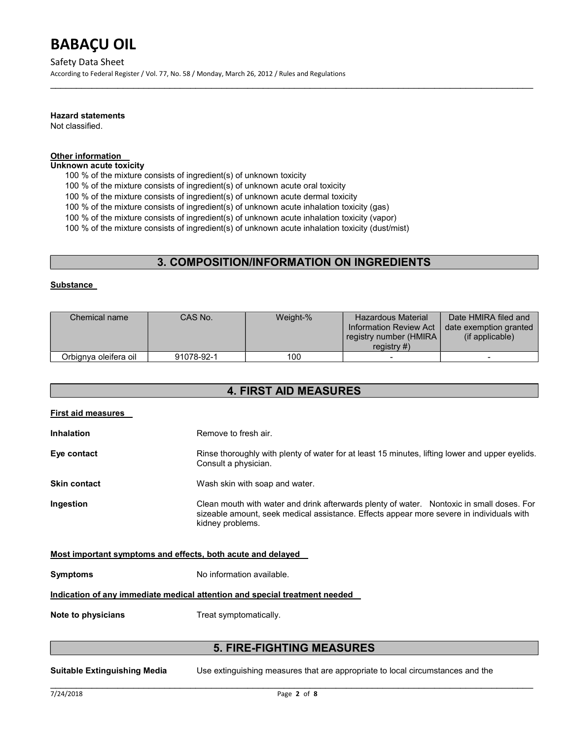#### Safety Data Sheet

According to Federal Register / Vol. 77, No. 58 / Monday, March 26, 2012 / Rules and Regulations

#### Hazard statements

Not classified.

### Other information

Unknown acute toxicity

100 % of the mixture consists of ingredient(s) of unknown toxicity

100 % of the mixture consists of ingredient(s) of unknown acute oral toxicity

100 % of the mixture consists of ingredient(s) of unknown acute dermal toxicity

100 % of the mixture consists of ingredient(s) of unknown acute inhalation toxicity (gas)

100 % of the mixture consists of ingredient(s) of unknown acute inhalation toxicity (vapor)

100 % of the mixture consists of ingredient(s) of unknown acute inhalation toxicity (dust/mist)

### 3. COMPOSITION/INFORMATION ON INGREDIENTS

 $\mathcal{L}_\mathcal{L} = \mathcal{L}_\mathcal{L} = \mathcal{L}_\mathcal{L} = \mathcal{L}_\mathcal{L} = \mathcal{L}_\mathcal{L} = \mathcal{L}_\mathcal{L} = \mathcal{L}_\mathcal{L} = \mathcal{L}_\mathcal{L} = \mathcal{L}_\mathcal{L} = \mathcal{L}_\mathcal{L} = \mathcal{L}_\mathcal{L} = \mathcal{L}_\mathcal{L} = \mathcal{L}_\mathcal{L} = \mathcal{L}_\mathcal{L} = \mathcal{L}_\mathcal{L} = \mathcal{L}_\mathcal{L} = \mathcal{L}_\mathcal{L}$ 

#### **Substance**

| Chemical name         | CAS No.    | Weight-% | <b>Hazardous Material</b><br>Information Review Act<br>registry number (HMIRA)<br>registry $#$ ) | Date HMIRA filed and<br>date exemption granted<br>(if applicable) |
|-----------------------|------------|----------|--------------------------------------------------------------------------------------------------|-------------------------------------------------------------------|
| Orbignya oleifera oil | 91078-92-1 | 100      |                                                                                                  | $\overline{\phantom{0}}$                                          |

### 4. FIRST AID MEASURES

| Remove to fresh air.                                                                                                                                                                                      |  |  |
|-----------------------------------------------------------------------------------------------------------------------------------------------------------------------------------------------------------|--|--|
| Rinse thoroughly with plenty of water for at least 15 minutes, lifting lower and upper eyelids.<br>Consult a physician.                                                                                   |  |  |
| Wash skin with soap and water.                                                                                                                                                                            |  |  |
| Clean mouth with water and drink afterwards plenty of water. Nontoxic in small doses. For<br>sizeable amount, seek medical assistance. Effects appear more severe in individuals with<br>kidney problems. |  |  |
| Most important symptoms and effects, both acute and delayed                                                                                                                                               |  |  |
| No information available.                                                                                                                                                                                 |  |  |
| Indication of any immediate medical attention and special treatment needed                                                                                                                                |  |  |
| Treat symptomatically.                                                                                                                                                                                    |  |  |
|                                                                                                                                                                                                           |  |  |

### 5. FIRE-FIGHTING MEASURES

Suitable Extinguishing Media Use extinguishing measures that are appropriate to local circumstances and the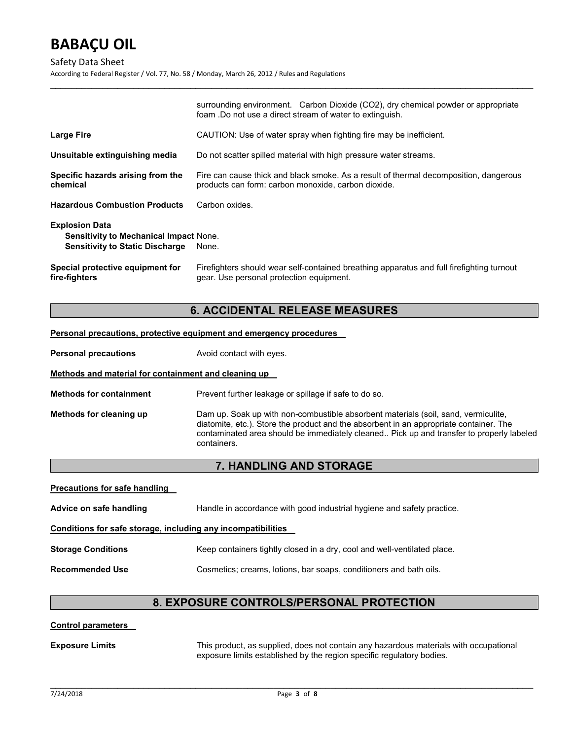#### Safety Data Sheet

According to Federal Register / Vol. 77, No. 58 / Monday, March 26, 2012 / Rules and Regulations

|                                                                                                                  | surrounding environment. Carbon Dioxide (CO2), dry chemical powder or appropriate<br>foam .Do not use a direct stream of water to extinguish. |  |
|------------------------------------------------------------------------------------------------------------------|-----------------------------------------------------------------------------------------------------------------------------------------------|--|
| <b>Large Fire</b>                                                                                                | CAUTION: Use of water spray when fighting fire may be inefficient.                                                                            |  |
| Unsuitable extinguishing media                                                                                   | Do not scatter spilled material with high pressure water streams.                                                                             |  |
| Specific hazards arising from the<br>chemical                                                                    | Fire can cause thick and black smoke. As a result of thermal decomposition, dangerous<br>products can form: carbon monoxide, carbon dioxide.  |  |
| <b>Hazardous Combustion Products</b>                                                                             | Carbon oxides.                                                                                                                                |  |
| <b>Explosion Data</b><br><b>Sensitivity to Mechanical Impact None.</b><br><b>Sensitivity to Static Discharge</b> | None.                                                                                                                                         |  |
| Special protective equipment for<br>fire-fighters                                                                | Firefighters should wear self-contained breathing apparatus and full firefighting turnout<br>gear. Use personal protection equipment.         |  |

 $\mathcal{L}_\mathcal{L} = \mathcal{L}_\mathcal{L} = \mathcal{L}_\mathcal{L} = \mathcal{L}_\mathcal{L} = \mathcal{L}_\mathcal{L} = \mathcal{L}_\mathcal{L} = \mathcal{L}_\mathcal{L} = \mathcal{L}_\mathcal{L} = \mathcal{L}_\mathcal{L} = \mathcal{L}_\mathcal{L} = \mathcal{L}_\mathcal{L} = \mathcal{L}_\mathcal{L} = \mathcal{L}_\mathcal{L} = \mathcal{L}_\mathcal{L} = \mathcal{L}_\mathcal{L} = \mathcal{L}_\mathcal{L} = \mathcal{L}_\mathcal{L}$ 

## 6. ACCIDENTAL RELEASE MEASURES

#### Personal precautions, protective equipment and emergency procedures

| <b>Personal precautions</b> | Avoid contact with eyes. |
|-----------------------------|--------------------------|
|-----------------------------|--------------------------|

#### Methods and material for containment and cleaning up

Methods for containment Prevent further leakage or spillage if safe to do so.

Methods for cleaning up Dam up. Soak up with non-combustible absorbent materials (soil, sand, vermiculite, diatomite, etc.). Store the product and the absorbent in an appropriate container. The contaminated area should be immediately cleaned.. Pick up and transfer to properly labeled containers.

## 7. HANDLING AND STORAGE

| <b>Precautions for safe handling</b>                         |                                                                          |  |  |
|--------------------------------------------------------------|--------------------------------------------------------------------------|--|--|
| Advice on safe handling                                      | Handle in accordance with good industrial hygiene and safety practice.   |  |  |
| Conditions for safe storage, including any incompatibilities |                                                                          |  |  |
| <b>Storage Conditions</b>                                    | Keep containers tightly closed in a dry, cool and well-ventilated place. |  |  |
| <b>Recommended Use</b>                                       | Cosmetics; creams, lotions, bar soaps, conditioners and bath oils.       |  |  |

## 8. EXPOSURE CONTROLS/PERSONAL PROTECTION

#### Control parameters

Exposure Limits This product, as supplied, does not contain any hazardous materials with occupational exposure limits established by the region specific regulatory bodies.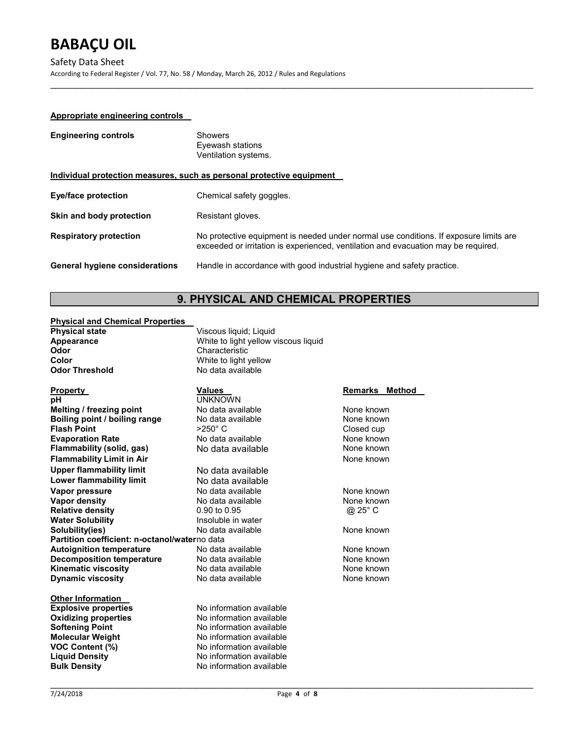Safety Data Sheet

According to Federal Register / Vol. 77, No. 58 / Monday, March 26, 2012 / Rules and Regulations

### Appropriate engineering controls

| <b>Engineering controls</b>           | <b>Showers</b><br>Eyewash stations<br>Ventilation systems.                                                                                                                  |
|---------------------------------------|-----------------------------------------------------------------------------------------------------------------------------------------------------------------------------|
|                                       | Individual protection measures, such as personal protective equipment                                                                                                       |
| <b>Eye/face protection</b>            | Chemical safety goggles.                                                                                                                                                    |
| Skin and body protection              | Resistant gloves.                                                                                                                                                           |
| <b>Respiratory protection</b>         | No protective equipment is needed under normal use conditions. If exposure limits are<br>exceeded or irritation is experienced, ventilation and evacuation may be required. |
| <b>General hygiene considerations</b> | Handle in accordance with good industrial hygiene and safety practice.                                                                                                      |

 $\mathcal{L}_\mathcal{L} = \mathcal{L}_\mathcal{L} = \mathcal{L}_\mathcal{L} = \mathcal{L}_\mathcal{L} = \mathcal{L}_\mathcal{L} = \mathcal{L}_\mathcal{L} = \mathcal{L}_\mathcal{L} = \mathcal{L}_\mathcal{L} = \mathcal{L}_\mathcal{L} = \mathcal{L}_\mathcal{L} = \mathcal{L}_\mathcal{L} = \mathcal{L}_\mathcal{L} = \mathcal{L}_\mathcal{L} = \mathcal{L}_\mathcal{L} = \mathcal{L}_\mathcal{L} = \mathcal{L}_\mathcal{L} = \mathcal{L}_\mathcal{L}$ 

## 9. PHYSICAL AND CHEMICAL PROPERTIES

#### Physical and Chemical Properties

| Pilysical allu Ullelliical Pilopeitles        |                                      |                   |
|-----------------------------------------------|--------------------------------------|-------------------|
| <b>Physical state</b>                         | Viscous liquid; Liquid               |                   |
| Appearance                                    | White to light yellow viscous liquid |                   |
| Odor                                          | Characteristic                       |                   |
| Color                                         | White to light yellow                |                   |
| <b>Odor Threshold</b>                         | No data available                    |                   |
| <b>Property</b>                               | <b>Values</b>                        | Remarks<br>Method |
| рH                                            | <b>UNKNOWN</b>                       |                   |
| Melting / freezing point                      | No data available                    | None known        |
| Boiling point / boiling range                 | No data available                    | None known        |
| <b>Flash Point</b>                            | >250°C                               | Closed cup        |
| <b>Evaporation Rate</b>                       | No data available                    | None known        |
| Flammability (solid, gas)                     | No data available                    | None known        |
| <b>Flammability Limit in Air</b>              |                                      | None known        |
| <b>Upper flammability limit</b>               | No data available                    |                   |
| <b>Lower flammability limit</b>               | No data available                    |                   |
| Vapor pressure                                | No data available                    | None known        |
| <b>Vapor density</b>                          | No data available                    | None known        |
| <b>Relative density</b>                       | 0.90 to 0.95                         | @ 25° C           |
| <b>Water Solubility</b>                       | Insoluble in water                   |                   |
| Solubility(ies)                               | No data available                    | None known        |
| Partition coefficient: n-octanol/waterno data |                                      |                   |
| <b>Autoignition temperature</b>               | No data available                    | None known        |
| <b>Decomposition temperature</b>              | No data available                    | None known        |
| <b>Kinematic viscosity</b>                    | No data available                    | None known        |
| <b>Dynamic viscosity</b>                      | No data available                    | None known        |
| <b>Other Information</b>                      |                                      |                   |
| <b>Explosive properties</b>                   | No information available             |                   |
| <b>Oxidizing properties</b>                   | No information available             |                   |
| <b>Softening Point</b>                        | No information available             |                   |
| <b>Molecular Weight</b>                       | No information available             |                   |
| VOC Content (%)                               | No information available             |                   |
| <b>Liquid Density</b>                         | No information available             |                   |
|                                               |                                      |                   |

Bulk Density **No information available**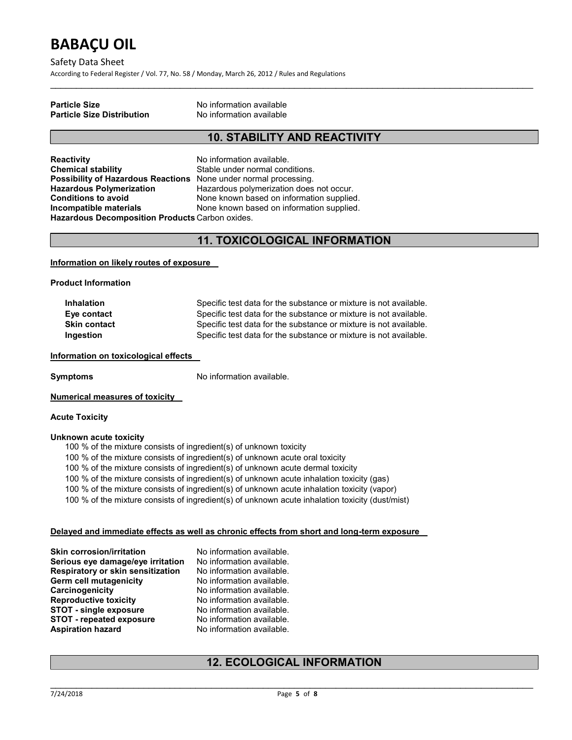Safety Data Sheet

According to Federal Register / Vol. 77, No. 58 / Monday, March 26, 2012 / Rules and Regulations

#### Particle Size No information available Particle Size Distribution

## 10. STABILITY AND REACTIVITY

 $\mathcal{L}_\mathcal{L} = \mathcal{L}_\mathcal{L} = \mathcal{L}_\mathcal{L} = \mathcal{L}_\mathcal{L} = \mathcal{L}_\mathcal{L} = \mathcal{L}_\mathcal{L} = \mathcal{L}_\mathcal{L} = \mathcal{L}_\mathcal{L} = \mathcal{L}_\mathcal{L} = \mathcal{L}_\mathcal{L} = \mathcal{L}_\mathcal{L} = \mathcal{L}_\mathcal{L} = \mathcal{L}_\mathcal{L} = \mathcal{L}_\mathcal{L} = \mathcal{L}_\mathcal{L} = \mathcal{L}_\mathcal{L} = \mathcal{L}_\mathcal{L}$ 

Reactivity **No information available.** Chemical stability Stable under normal conditions. Possibility of Hazardous Reactions None under normal processing.<br>Hazardous Polymerization Hazardous polymerization does Hazardous Decomposition Products Carbon oxides.

Hazardous polymerization does not occur. Conditions to avoid **None known based on information supplied. Incompatible materials** None known based on information supplied.

## 11. TOXICOLOGICAL INFORMATION

#### Information on likely routes of exposure

Product Information

Inhalation Specific test data for the substance or mixture is not available. Eye contact Specific test data for the substance or mixture is not available. Skin contact Specific test data for the substance or mixture is not available. Ingestion Specific test data for the substance or mixture is not available.

#### Information on toxicological effects

Symptoms No information available.

#### Numerical measures of toxicity

#### Acute Toxicity

#### Unknown acute toxicity

- 100 % of the mixture consists of ingredient(s) of unknown toxicity
- 100 % of the mixture consists of ingredient(s) of unknown acute oral toxicity
- 100 % of the mixture consists of ingredient(s) of unknown acute dermal toxicity
- 100 % of the mixture consists of ingredient(s) of unknown acute inhalation toxicity (gas)
- 100 % of the mixture consists of ingredient(s) of unknown acute inhalation toxicity (vapor)
- 100 % of the mixture consists of ingredient(s) of unknown acute inhalation toxicity (dust/mist)

#### Delayed and immediate effects as well as chronic effects from short and long-term exposure

Skin corrosion/irritation No information available. Serious eye damage/eye irritation No information available.<br>Respiratory or skin sensitization No information available. Respiratory or skin sensitization No information available.<br>
Germ cell mutagenicity No information available. Germ cell mutagenicity Carcinogenicity **No information available.**<br>
Reproductive toxicity **No information available**. Reproductive toxicity STOT - single exposure No information available. STOT - repeated exposure No information available. Aspiration hazard No information available.

## 12. ECOLOGICAL INFORMATION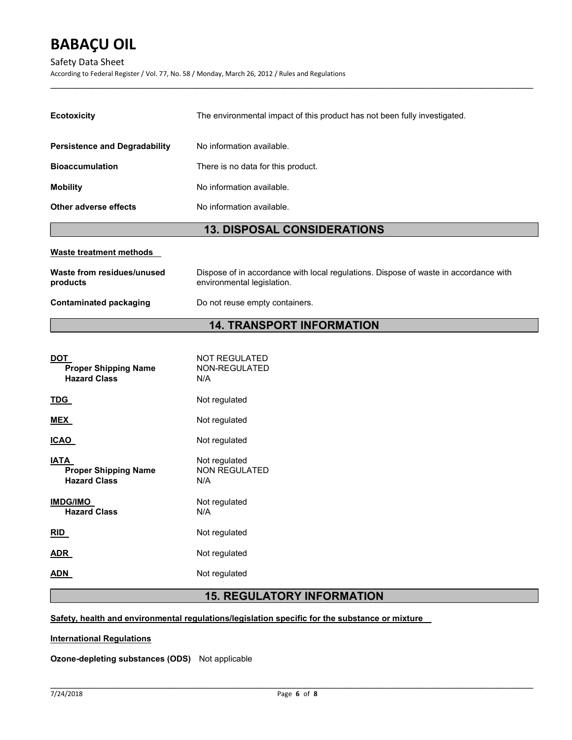#### Safety Data Sheet

According to Federal Register / Vol. 77, No. 58 / Monday, March 26, 2012 / Rules and Regulations

| <b>13. DISPOSAL CONSIDERATIONS</b>   |                                                                           |  |
|--------------------------------------|---------------------------------------------------------------------------|--|
| Other adverse effects                | No information available.                                                 |  |
| <b>Mobility</b>                      | No information available.                                                 |  |
| <b>Bioaccumulation</b>               | There is no data for this product.                                        |  |
| <b>Persistence and Degradability</b> | No information available.                                                 |  |
| <b>Ecotoxicity</b>                   | The environmental impact of this product has not been fully investigated. |  |

 $\mathcal{L}_\mathcal{L} = \mathcal{L}_\mathcal{L} = \mathcal{L}_\mathcal{L} = \mathcal{L}_\mathcal{L} = \mathcal{L}_\mathcal{L} = \mathcal{L}_\mathcal{L} = \mathcal{L}_\mathcal{L} = \mathcal{L}_\mathcal{L} = \mathcal{L}_\mathcal{L} = \mathcal{L}_\mathcal{L} = \mathcal{L}_\mathcal{L} = \mathcal{L}_\mathcal{L} = \mathcal{L}_\mathcal{L} = \mathcal{L}_\mathcal{L} = \mathcal{L}_\mathcal{L} = \mathcal{L}_\mathcal{L} = \mathcal{L}_\mathcal{L}$ 

#### Waste treatment methods

| Waste from residues/unused | Dispose of in accordance with local regulations. Dispose of waste in accordance with |
|----------------------------|--------------------------------------------------------------------------------------|
| products                   | environmental legislation.                                                           |
| Contaminated packaging     | Do not reuse empty containers.                                                       |

## 14. TRANSPORT INFORMATION

| DOT<br><b>Proper Shipping Name</b><br><b>Hazard Class</b>  | <b>NOT REGULATED</b><br>NON-REGULATED<br>N/A |
|------------------------------------------------------------|----------------------------------------------|
| TDG                                                        | Not regulated                                |
| <b>MEX</b>                                                 | Not regulated                                |
| ICAO                                                       | Not regulated                                |
| IATA<br><b>Proper Shipping Name</b><br><b>Hazard Class</b> | Not regulated<br><b>NON REGULATED</b><br>N/A |
| <b>IMDG/IMO</b><br><b>Hazard Class</b>                     | Not regulated<br>N/A                         |
| RID                                                        | Not regulated                                |
| ADR                                                        | Not regulated                                |
| ADN                                                        | Not regulated                                |

## 15. REGULATORY INFORMATION

#### Safety, health and environmental regulations/legislation specific for the substance or mixture

International Regulations

Ozone-depleting substances (ODS) Not applicable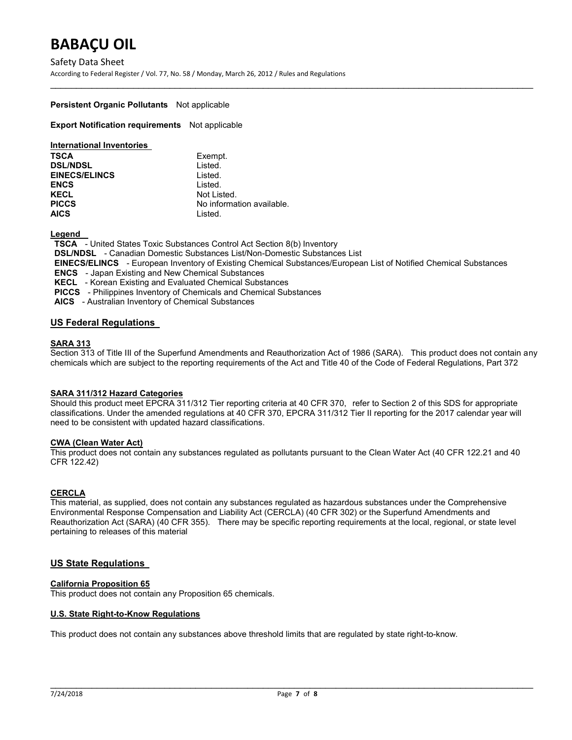Safety Data Sheet According to Federal Register / Vol. 77, No. 58 / Monday, March 26, 2012 / Rules and Regulations

#### Persistent Organic Pollutants Not applicable

**Export Notification requirements** Not applicable

| <b>International Inventories</b> |                           |
|----------------------------------|---------------------------|
| <b>TSCA</b>                      | Exempt.                   |
| <b>DSL/NDSL</b>                  | Listed.                   |
| <b>EINECS/ELINCS</b>             | Listed.                   |
| <b>ENCS</b>                      | Listed.                   |
| <b>KECL</b>                      | Not Listed.               |
| <b>PICCS</b>                     | No information available. |
| <b>AICS</b>                      | Listed.                   |

Legend

TSCA - United States Toxic Substances Control Act Section 8(b) Inventory

DSL/NDSL - Canadian Domestic Substances List/Non-Domestic Substances List

EINECS/ELINCS - European Inventory of Existing Chemical Substances/European List of Notified Chemical Substances

 $\mathcal{L}_\mathcal{L} = \mathcal{L}_\mathcal{L} = \mathcal{L}_\mathcal{L} = \mathcal{L}_\mathcal{L} = \mathcal{L}_\mathcal{L} = \mathcal{L}_\mathcal{L} = \mathcal{L}_\mathcal{L} = \mathcal{L}_\mathcal{L} = \mathcal{L}_\mathcal{L} = \mathcal{L}_\mathcal{L} = \mathcal{L}_\mathcal{L} = \mathcal{L}_\mathcal{L} = \mathcal{L}_\mathcal{L} = \mathcal{L}_\mathcal{L} = \mathcal{L}_\mathcal{L} = \mathcal{L}_\mathcal{L} = \mathcal{L}_\mathcal{L}$ 

ENCS - Japan Existing and New Chemical Substances

KECL - Korean Existing and Evaluated Chemical Substances

PICCS - Philippines Inventory of Chemicals and Chemical Substances

AICS - Australian Inventory of Chemical Substances

### US Federal Regulations

#### SARA 313

Section 313 of Title III of the Superfund Amendments and Reauthorization Act of 1986 (SARA). This product does not contain any chemicals which are subject to the reporting requirements of the Act and Title 40 of the Code of Federal Regulations, Part 372

#### SARA 311/312 Hazard Categories

Should this product meet EPCRA 311/312 Tier reporting criteria at 40 CFR 370, refer to Section 2 of this SDS for appropriate classifications. Under the amended regulations at 40 CFR 370, EPCRA 311/312 Tier II reporting for the 2017 calendar year will need to be consistent with updated hazard classifications.

#### CWA (Clean Water Act)

This product does not contain any substances regulated as pollutants pursuant to the Clean Water Act (40 CFR 122.21 and 40 CFR 122.42)

#### **CERCLA**

This material, as supplied, does not contain any substances regulated as hazardous substances under the Comprehensive Environmental Response Compensation and Liability Act (CERCLA) (40 CFR 302) or the Superfund Amendments and Reauthorization Act (SARA) (40 CFR 355). There may be specific reporting requirements at the local, regional, or state level pertaining to releases of this material

#### US State Regulations

#### California Proposition 65

This product does not contain any Proposition 65 chemicals.

#### U.S. State Right-to-Know Regulations

This product does not contain any substances above threshold limits that are regulated by state right-to-know.